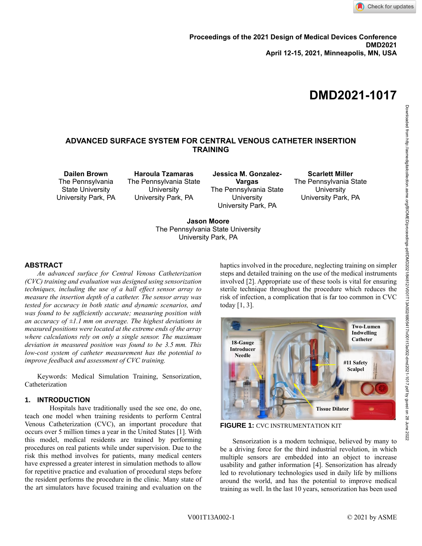

# **DMD2021-1017**

# **ADVANCED SURFACE SYSTEM FOR CENTRAL VENOUS CATHETER INSERTION TRAINING**

**Dailen Brown** The Pennsylvania State University University Park, PA

**Haroula Tzamaras** The Pennsylvania State **University** University Park, PA

**Jessica M. Gonzalez-Vargas** The Pennsylvania State **University** University Park, PA

**Scarlett Miller** The Pennsylvania State **University** University Park, PA

**Jason Moore** The Pennsylvania State University University Park, PA

#### **ABSTRACT**

*An advanced surface for Central Venous Catheterization (CVC) training and evaluation was designed using sensorization techniques, including the use of a hall effect sensor array to measure the insertion depth of a catheter. The sensor array was tested for accuracy in both static and dynamic scenarios, and was found to be sufficiently accurate; measuring position with an accuracy of ±1.1 mm on average. The highest deviations in measured positions were located at the extreme ends of the array where calculations rely on only a single sensor. The maximum deviation in measured position was found to be 3.5 mm. This low-cost system of catheter measurement has the potential to improve feedback and assessment of CVC training.*

Keywords: Medical Simulation Training, Sensorization, Catheterization

## **1. INTRODUCTION**

Hospitals have traditionally used the see one, do one, teach one model when training residents to perform Central Venous Catheterization (CVC), an important procedure that occurs over 5 million times a year in the United States [1]. With this model, medical residents are trained by performing procedures on real patients while under supervision. Due to the risk this method involves for patients, many medical centers have expressed a greater interest in simulation methods to allow for repetitive practice and evaluation of procedural steps before the resident performs the procedure in the clinic. Many state of the art simulators have focused training and evaluation on the haptics involved in the procedure, neglecting training on simpler steps and detailed training on the use of the medical instruments involved [2]. Appropriate use of these tools is vital for ensuring sterile technique throughout the procedure which reduces the risk of infection, a complication that is far too common in CVC today [1, 3].



**FIGURE 1:** CVC INSTRUMENTATION KIT

Sensorization is a modern technique, believed by many to be a driving force for the third industrial revolution, in which multiple sensors are embedded into an object to increase usability and gather information [4]. Sensorization has already led to revolutionary technologies used in daily life by millions around the world, and has the potential to improve medical training as well. In the last 10 years, sensorization has been used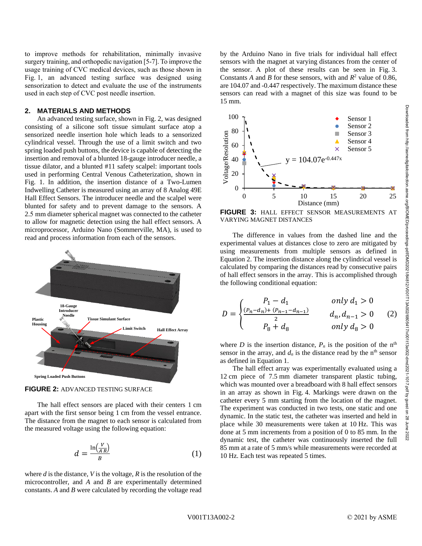to improve methods for rehabilitation, minimally invasive surgery training, and orthopedic navigation [5-7]. To improve the usage training of CVC medical devices, such as those shown in Fig. 1, an advanced testing surface was designed using sensorization to detect and evaluate the use of the instruments used in each step of CVC post needle insertion.

#### **2. MATERIALS AND METHODS**

An advanced testing surface, shown in Fig. 2, was designed consisting of a silicone soft tissue simulant surface atop a sensorized needle insertion hole which leads to a sensorized cylindrical vessel. Through the use of a limit switch and two spring loaded push buttons, the device is capable of detecting the insertion and removal of a blunted 18-gauge introducer needle, a tissue dilator, and a blunted #11 safety scalpel: important tools used in performing Central Venous Catheterization, shown in Fig. 1. In addition, the insertion distance of a Two-Lumen Indwelling Catheter is measured using an array of 8 Analog 49E Hall Effect Sensors. The introducer needle and the scalpel were blunted for safety and to prevent damage to the sensors. A 2.5 mm diameter spherical magnet was connected to the catheter to allow for magnetic detection using the hall effect sensors. A microprocessor, Arduino Nano (Sommerville, MA), is used to read and process information from each of the sensors.





The hall effect sensors are placed with their centers 1 cm apart with the first sensor being 1 cm from the vessel entrance. The distance from the magnet to each sensor is calculated from the measured voltage using the following equation:

$$
d = \frac{\ln\left(\frac{V}{AB}\right)}{B} \tag{1}
$$

where *d* is the distance, *V* is the voltage, *R* is the resolution of the microcontroller, and *A* and *B* are experimentally determined constants. *A* and *B* were calculated by recording the voltage read

by the Arduino Nano in five trials for individual hall effect sensors with the magnet at varying distances from the center of the sensor. A plot of these results can be seen in Fig. 3. Constants *A* and *B* for these sensors, with and  $R^2$  value of 0.86, are 104.07 and -0.447 respectively. The maximum distance these sensors can read with a magnet of this size was found to be 15 mm.



**FIGURE 3:** HALL EFFECT SENSOR MEASUREMENTS AT VARYING MAGNET DISTANCES

The difference in values from the dashed line and the experimental values at distances close to zero are mitigated by using measurements from multiple sensors as defined in Equation 2. The insertion distance along the cylindrical vessel is calculated by comparing the distances read by consecutive pairs of hall effect sensors in the array. This is accomplished through the following conditional equation:

$$
D = \begin{cases} P_1 - d_1 & only \ d_1 > 0 \\ \frac{(P_n - d_n) + (P_{n-1} - d_{n-1})}{2} & d_n, d_{n-1} > 0 \\ P_8 + d_8 & only \ d_8 > 0 \end{cases} (2)
$$

where *D* is the insertion distance,  $P_n$  is the position of the n<sup>th</sup> sensor in the array, and  $d_n$  is the distance read by the n<sup>th</sup> sensor as defined in Equation 1.

The hall effect array was experimentally evaluated using a 12 cm piece of 7.5 mm diameter transparent plastic tubing, which was mounted over a breadboard with 8 hall effect sensors in an array as shown in Fig. 4. Markings were drawn on the catheter every 5 mm starting from the location of the magnet. The experiment was conducted in two tests, one static and one dynamic. In the static test, the catheter was inserted and held in place while 30 measurements were taken at 10 Hz. This was done at 5 mm increments from a position of 0 to 85 mm. In the dynamic test, the catheter was continuously inserted the full 85 mm at a rate of 5 mm/s while measurements were recorded at 10 Hz. Each test was repeated 5 times.

2022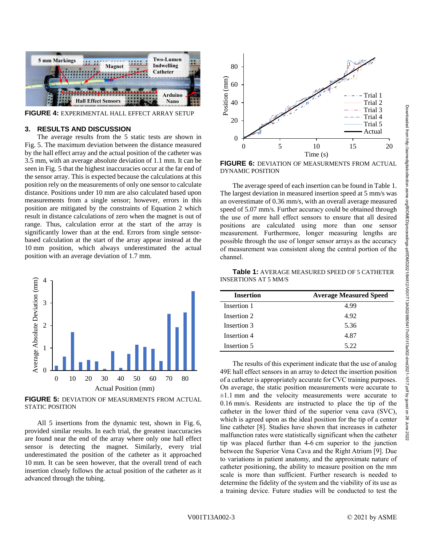

**FIGURE 4:** EXPERIMENTAL HALL EFFECT ARRAY SETUP

### **3. RESULTS AND DISCUSSION**

The average results from the 5 static tests are shown in Fig. 5. The maximum deviation between the distance measured by the hall effect array and the actual position of the catheter was 3.5 mm, with an average absolute deviation of 1.1 mm. It can be seen in Fig. 5 that the highest inaccuracies occur at the far end of the sensor array. This is expected because the calculations at this position rely on the measurements of only one sensor to calculate distance. Positions under 10 mm are also calculated based upon measurements from a single sensor; however, errors in this position are mitigated by the constraints of Equation 2 which result in distance calculations of zero when the magnet is out of range. Thus, calculation error at the start of the array is significantly lower than at the end. Errors from single sensorbased calculation at the start of the array appear instead at the 10 mm position, which always underestimated the actual position with an average deviation of 1.7 mm.



**FIGURE 5:** DEVIATION OF MEASURMENTS FROM ACTUAL STATIC POSITION

All 5 insertions from the dynamic test, shown in Fig. 6, provided similar results. In each trial, the greatest inaccuracies are found near the end of the array where only one hall effect sensor is detecting the magnet. Similarly, every trial underestimated the position of the catheter as it approached 10 mm. It can be seen however, that the overall trend of each insertion closely follows the actual position of the catheter as it advanced through the tubing.



**FIGURE 6:** DEVIATION OF MEASURMENTS FROM ACTUAL DYNAMIC POSITION

The average speed of each insertion can be found in Table 1. The largest deviation in measured insertion speed at 5 mm/s was an overestimate of 0.36 mm/s, with an overall average measured speed of 5.07 mm/s. Further accuracy could be obtained through the use of more hall effect sensors to ensure that all desired positions are calculated using more than one sensor measurement. Furthermore, longer measuring lengths are possible through the use of longer sensor arrays as the accuracy of measurement was consistent along the central portion of the channel.

**Table 1:** AVERAGE MEASURED SPEED OF 5 CATHETER INSERTIONS AT 5 MM/S

| <b>Insertion</b> | <b>Average Measured Speed</b> |
|------------------|-------------------------------|
| Insertion 1      | 4.99                          |
| Insertion 2      | 4.92                          |
| Insertion 3      | 5.36                          |
| Insertion 4      | 4.87                          |
| Insertion 5      | 5.22                          |

The results of this experiment indicate that the use of analog 49E hall effect sensors in an array to detect the insertion position of a catheter is appropriately accurate for CVC training purposes. On average, the static position measurements were accurate to  $\pm 1.1$  mm and the velocity measurements were accurate to 0.16 mm/s. Residents are instructed to place the tip of the catheter in the lower third of the superior vena cava (SVC), which is agreed upon as the ideal position for the tip of a center line catheter [8]. Studies have shown that increases in catheter malfunction rates were statistically significant when the catheter tip was placed further than 4-6 cm superior to the junction between the Superior Vena Cava and the Right Atrium [9]. Due to variations in patient anatomy, and the approximate nature of catheter positioning, the ability to measure position on the mm scale is more than sufficient. Further research is needed to determine the fidelity of the system and the viability of its use as a training device. Future studies will be conducted to test the